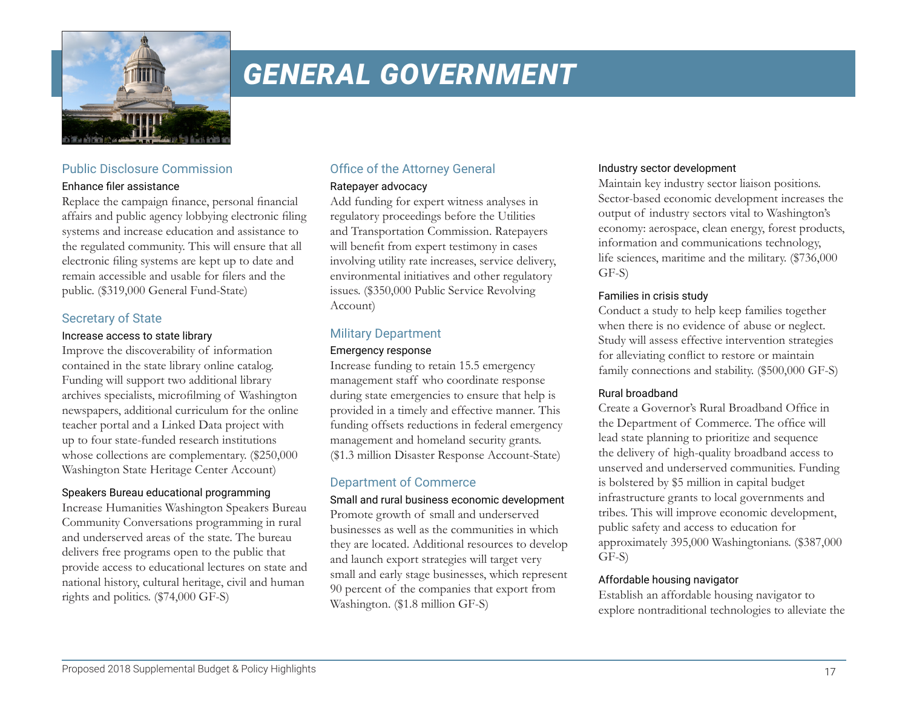

# *GENERAL GOVERNMENT*

## Public Disclosure Commission

#### Enhance filer assistance

Replace the campaign finance, personal financial affairs and public agency lobbying electronic filing systems and increase education and assistance to the regulated community. This will ensure that all electronic filing systems are kept up to date and remain accessible and usable for filers and the public. (\$319,000 General Fund-State)

## Secretary of State

#### Increase access to state library

Improve the discoverability of information contained in the state library online catalog. Funding will support two additional library archives specialists, microfilming of Washington newspapers, additional curriculum for the online teacher portal and a Linked Data project with up to four state-funded research institutions whose collections are complementary. (\$250,000 Washington State Heritage Center Account)

#### Speakers Bureau educational programming

Increase Humanities Washington Speakers Bureau Community Conversations programming in rural and underserved areas of the state. The bureau delivers free programs open to the public that provide access to educational lectures on state and national history, cultural heritage, civil and human rights and politics. (\$74,000 GF-S)

# Office of the Attorney General

#### Ratepayer advocacy

Add funding for expert witness analyses in regulatory proceedings before the Utilities and Transportation Commission. Ratepayers will benefit from expert testimony in cases involving utility rate increases, service delivery, environmental initiatives and other regulatory issues. (\$350,000 Public Service Revolving Account)

# Military Department

#### Emergency response

Increase funding to retain 15.5 emergency management staff who coordinate response during state emergencies to ensure that help is provided in a timely and effective manner. This funding offsets reductions in federal emergency management and homeland security grants. (\$1.3 million Disaster Response Account-State)

# Department of Commerce

Small and rural business economic development Promote growth of small and underserved businesses as well as the communities in which they are located. Additional resources to develop and launch export strategies will target very small and early stage businesses, which represent 90 percent of the companies that export from Washington. (\$1.8 million GF-S)

#### Industry sector development

Maintain key industry sector liaison positions. Sector-based economic development increases the output of industry sectors vital to Washington's economy: aerospace, clean energy, forest products, information and communications technology, life sciences, maritime and the military. (\$736,000 GF-S)

#### Families in crisis study

Conduct a study to help keep families together when there is no evidence of abuse or neglect. Study will assess effective intervention strategies for alleviating conflict to restore or maintain family connections and stability. (\$500,000 GF-S)

#### Rural broadband

Create a Governor's Rural Broadband Office in the Department of Commerce. The office will lead state planning to prioritize and sequence the delivery of high-quality broadband access to unserved and underserved communities. Funding is bolstered by \$5 million in capital budget infrastructure grants to local governments and tribes. This will improve economic development, public safety and access to education for approximately 395,000 Washingtonians. (\$387,000 GF-S)

#### Affordable housing navigator

Establish an affordable housing navigator to explore nontraditional technologies to alleviate the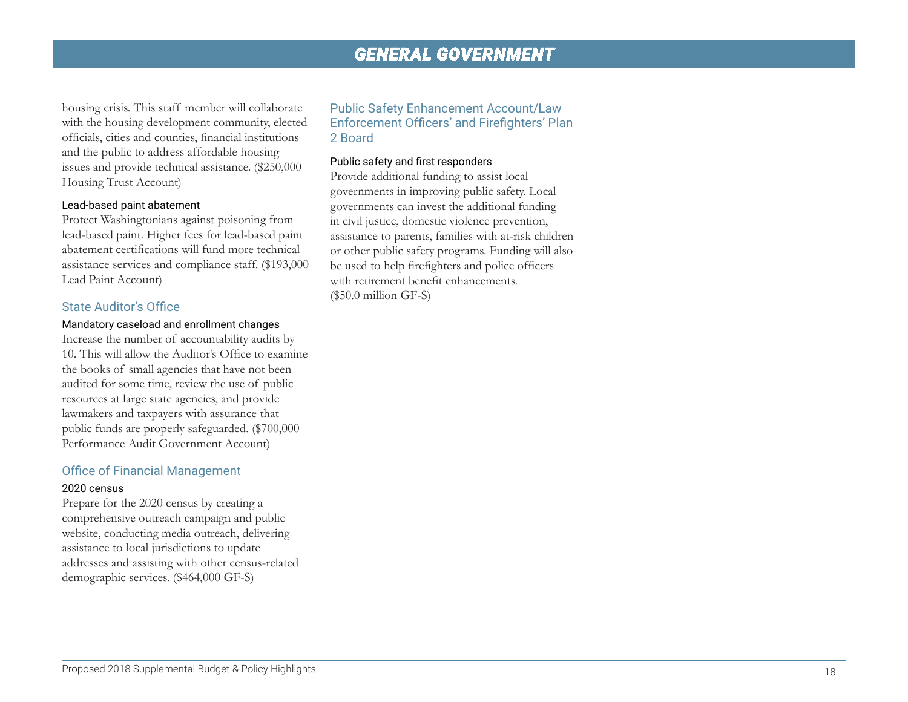# *GENERAL GOVERNMENT*

housing crisis. This staff member will collaborate with the housing development community, elected officials, cities and counties, financial institutions and the public to address affordable housing issues and provide technical assistance. (\$250,000 Housing Trust Account)

#### Lead-based paint abatement

Protect Washingtonians against poisoning from lead-based paint. Higher fees for lead-based paint abatement certifications will fund more technical assistance services and compliance staff. (\$193,000 Lead Paint Account)

#### State Auditor's Office

#### Mandatory caseload and enrollment changes

Increase the number of accountability audits by 10. This will allow the Auditor's Office to examine the books of small agencies that have not been audited for some time, review the use of public resources at large state agencies, and provide lawmakers and taxpayers with assurance that public funds are properly safeguarded. (\$700,000 Performance Audit Government Account)

#### Office of Financial Management

#### 2020 census

Prepare for the 2020 census by creating a comprehensive outreach campaign and public website, conducting media outreach, delivering assistance to local jurisdictions to update addresses and assisting with other census-related demographic services. (\$464,000 GF-S)

#### Public Safety Enhancement Account/Law Enforcement Officers' and Firefighters' Plan 2 Board

#### Public safety and first responders

Provide additional funding to assist local governments in improving public safety. Local governments can invest the additional funding in civil justice, domestic violence prevention, assistance to parents, families with at-risk children or other public safety programs. Funding will also be used to help firefighters and police officers with retirement benefit enhancements. (\$50.0 million GF-S)